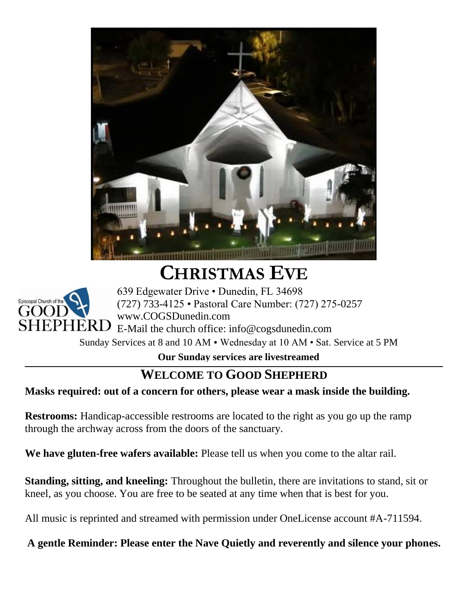

# **CHRISTMAS EVE**



639 Edgewater Drive • Dunedin, FL 34698 (727) 733-4125 • Pastoral Care Number: (727) 275-0257 www.COGSDunedin.com E-Mail the church office: info@cogsdunedin.com

Sunday Services at 8 and 10 AM • Wednesday at 10 AM • Sat. Service at 5 PM

**Our Sunday services are livestreamed**

# **WELCOME TO GOOD SHEPHERD**

# **Masks required: out of a concern for others, please wear a mask inside the building.**

**Restrooms:** Handicap-accessible restrooms are located to the right as you go up the ramp through the archway across from the doors of the sanctuary.

**We have gluten-free wafers available:** Please tell us when you come to the altar rail.

**Standing, sitting, and kneeling:** Throughout the bulletin, there are invitations to stand, sit or kneel, as you choose. You are free to be seated at any time when that is best for you.

All music is reprinted and streamed with permission under OneLicense account #A-711594.

**A gentle Reminder: Please enter the Nave Quietly and reverently and silence your phones.**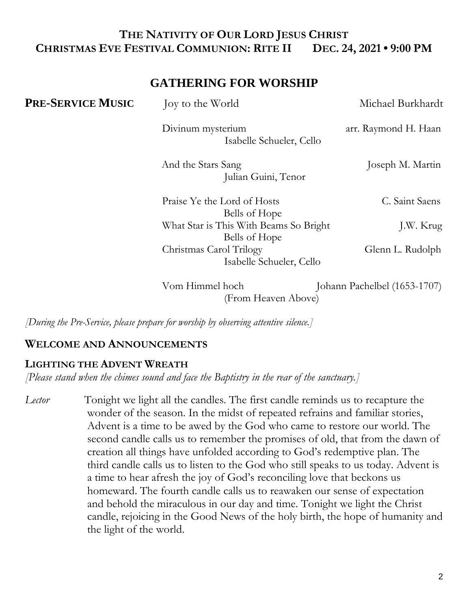# **THE NATIVITY OF OUR LORD JESUS CHRIST CHRISTMAS EVE FESTIVAL COMMUNION: RITE II DEC. 24, 2021 • 9:00 PM**

# **GATHERING FOR WORSHIP**

| <b>PRE-SERVICE MUSIC</b> | Joy to the World                                        | Michael Burkhardt            |
|--------------------------|---------------------------------------------------------|------------------------------|
|                          | Divinum mysterium<br>Isabelle Schueler, Cello           | arr. Raymond H. Haan         |
|                          | And the Stars Sang<br>Julian Guini, Tenor               | Joseph M. Martin             |
|                          | Praise Ye the Lord of Hosts<br>Bells of Hope            | C. Saint Saens               |
|                          | What Star is This With Beams So Bright<br>Bells of Hope | J.W. Krug                    |
|                          | Christmas Carol Trilogy<br>Isabelle Schueler, Cello     | Glenn L. Rudolph             |
|                          | Vom Himmel hoch                                         | Johann Pachelbel (1653-1707) |

(From Heaven Above)

*[During the Pre-Service, please prepare for worship by observing attentive silence.]*

## **WELCOME AND ANNOUNCEMENTS**

#### **LIGHTING THE ADVENT WREATH**

*[Please stand when the chimes sound and face the Baptistry in the rear of the sanctuary.]*

*Lector* Tonight we light all the candles. The first candle reminds us to recapture the wonder of the season. In the midst of repeated refrains and familiar stories, Advent is a time to be awed by the God who came to restore our world. The second candle calls us to remember the promises of old, that from the dawn of creation all things have unfolded according to God's redemptive plan. The third candle calls us to listen to the God who still speaks to us today. Advent is a time to hear afresh the joy of God's reconciling love that beckons us homeward. The fourth candle calls us to reawaken our sense of expectation and behold the miraculous in our day and time. Tonight we light the Christ candle, rejoicing in the Good News of the holy birth, the hope of humanity and the light of the world.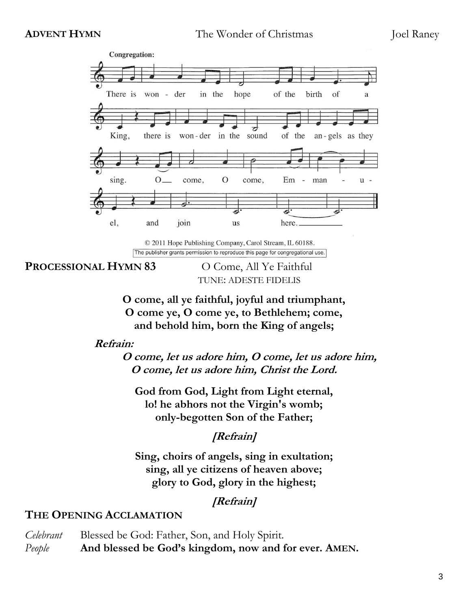

**PROCESSIONAL HYMN 83** O Come, All Ye Faithful

TUNE: ADESTE FIDELIS

**O come, all ye faithful, joyful and triumphant, O come ye, O come ye, to Bethlehem; come, and behold him, born the King of angels;**

#### **Refrain:**

**O come, let us adore him, O come, let us adore him, O come, let us adore him, Christ the Lord.**

**God from God, Light from Light eternal, lo! he abhors not the Virgin's womb; only-begotten Son of the Father;** 

## **[Refrain]**

**Sing, choirs of angels, sing in exultation; sing, all ye citizens of heaven above; glory to God, glory in the highest;** 

# **[Refrain]**

# **THE OPENING ACCLAMATION**

*Celebrant* Blessed be God: Father, Son, and Holy Spirit. *People* **And blessed be God's kingdom, now and for ever. AMEN.**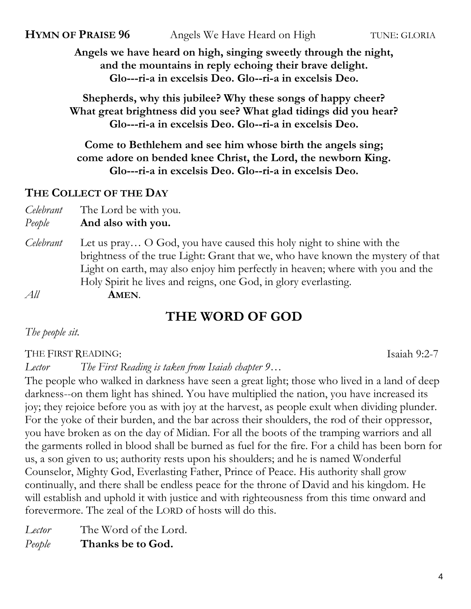**HYMN OF PRAISE 96** Angels We Have Heard on High TUNE: GLORIA

**Angels we have heard on high, singing sweetly through the night, and the mountains in reply echoing their brave delight. Glo---ri-a in excelsis Deo. Glo--ri-a in excelsis Deo.**

**Shepherds, why this jubilee? Why these songs of happy cheer? What great brightness did you see? What glad tidings did you hear? Glo---ri-a in excelsis Deo. Glo--ri-a in excelsis Deo.**

**Come to Bethlehem and see him whose birth the angels sing; come adore on bended knee Christ, the Lord, the newborn King. Glo---ri-a in excelsis Deo. Glo--ri-a in excelsis Deo.**

# **THE COLLECT OF THE DAY**

*Celebrant* The Lord be with you.

*People* **And also with you.**

*Celebrant* Let us pray… O God, you have caused this holy night to shine with the brightness of the true Light: Grant that we, who have known the mystery of that Light on earth, may also enjoy him perfectly in heaven; where with you and the Holy Spirit he lives and reigns, one God, in glory everlasting.

#### *All* **AMEN**.

# **THE WORD OF GOD**

# *The people sit.*

THE FIRST READING: Isaiah 9:2-7

*Lector The First Reading is taken from Isaiah chapter 9…*

The people who walked in darkness have seen a great light; those who lived in a land of deep darkness--on them light has shined. You have multiplied the nation, you have increased its joy; they rejoice before you as with joy at the harvest, as people exult when dividing plunder. For the yoke of their burden, and the bar across their shoulders, the rod of their oppressor, you have broken as on the day of Midian. For all the boots of the tramping warriors and all the garments rolled in blood shall be burned as fuel for the fire. For a child has been born for us, a son given to us; authority rests upon his shoulders; and he is named Wonderful Counselor, Mighty God, Everlasting Father, Prince of Peace. His authority shall grow continually, and there shall be endless peace for the throne of David and his kingdom. He will establish and uphold it with justice and with righteousness from this time onward and forevermore. The zeal of the LORD of hosts will do this.

*Lector* The Word of the Lord. *People* **Thanks be to God.**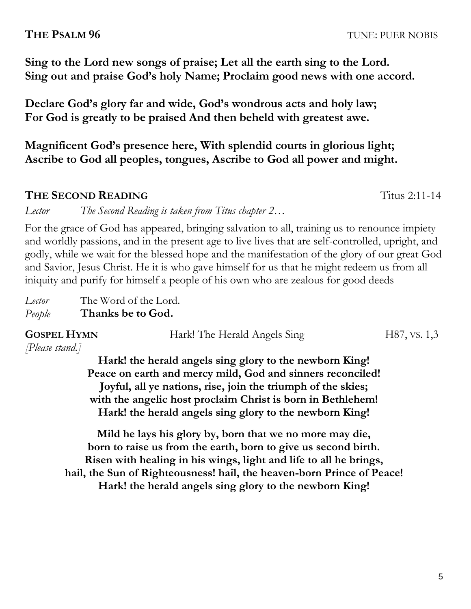**THE PSALM 96** TUNE: PUER NOBIS

**Sing to the Lord new songs of praise; Let all the earth sing to the Lord. Sing out and praise God's holy Name; Proclaim good news with one accord.** 

**Declare God's glory far and wide, God's wondrous acts and holy law; For God is greatly to be praised And then beheld with greatest awe.**

**Magnificent God's presence here, With splendid courts in glorious light; Ascribe to God all peoples, tongues, Ascribe to God all power and might.** 

# **THE SECOND READING THE**

*Lector The Second Reading is taken from Titus chapter 2…*

For the grace of God has appeared, bringing salvation to all, training us to renounce impiety and worldly passions, and in the present age to live lives that are self-controlled, upright, and godly, while we wait for the blessed hope and the manifestation of the glory of our great God and Savior, Jesus Christ. He it is who gave himself for us that he might redeem us from all iniquity and purify for himself a people of his own who are zealous for good deeds

| Lector | The Word of the Lord. |
|--------|-----------------------|
| People | Thanks be to God.     |

| <b>GOSPEL HYMN</b> | Hark! The Herald Angels Sing | H87, vs. 1,3 |
|--------------------|------------------------------|--------------|
| Please stand.]     |                              |              |

**Hark! the herald angels sing glory to the newborn King! Peace on earth and mercy mild, God and sinners reconciled! Joyful, all ye nations, rise, join the triumph of the skies; with the angelic host proclaim Christ is born in Bethlehem! Hark! the herald angels sing glory to the newborn King!**

**Mild he lays his glory by, born that we no more may die, born to raise us from the earth, born to give us second birth. Risen with healing in his wings, light and life to all he brings, hail, the Sun of Righteousness! hail, the heaven-born Prince of Peace! Hark! the herald angels sing glory to the newborn King!**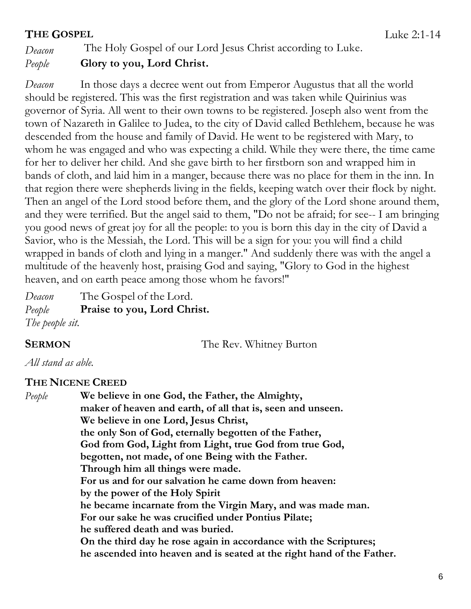# **THE GOSPEL** Luke 2:1-14

# *Deacon* The Holy Gospel of our Lord Jesus Christ according to Luke. *People* **Glory to you, Lord Christ.**

*Deacon* In those days a decree went out from Emperor Augustus that all the world should be registered. This was the first registration and was taken while Quirinius was governor of Syria. All went to their own towns to be registered. Joseph also went from the town of Nazareth in Galilee to Judea, to the city of David called Bethlehem, because he was descended from the house and family of David. He went to be registered with Mary, to whom he was engaged and who was expecting a child. While they were there, the time came for her to deliver her child. And she gave birth to her firstborn son and wrapped him in bands of cloth, and laid him in a manger, because there was no place for them in the inn. In that region there were shepherds living in the fields, keeping watch over their flock by night. Then an angel of the Lord stood before them, and the glory of the Lord shone around them, and they were terrified. But the angel said to them, "Do not be afraid; for see-- I am bringing you good news of great joy for all the people: to you is born this day in the city of David a Savior, who is the Messiah, the Lord. This will be a sign for you: you will find a child wrapped in bands of cloth and lying in a manger." And suddenly there was with the angel a multitude of the heavenly host, praising God and saying, "Glory to God in the highest heaven, and on earth peace among those whom he favors!"

*Deacon* The Gospel of the Lord. *People* **Praise to you, Lord Christ.** *The people sit.*

**SERMON** The Rev. Whitney Burton

*All stand as able.*

# **THE NICENE CREED**

*People* **We believe in one God, the Father, the Almighty, maker of heaven and earth, of all that is, seen and unseen. We believe in one Lord, Jesus Christ, the only Son of God, eternally begotten of the Father, God from God, Light from Light, true God from true God, begotten, not made, of one Being with the Father. Through him all things were made. For us and for our salvation he came down from heaven: by the power of the Holy Spirit he became incarnate from the Virgin Mary, and was made man. For our sake he was crucified under Pontius Pilate; he suffered death and was buried. On the third day he rose again in accordance with the Scriptures; he ascended into heaven and is seated at the right hand of the Father.**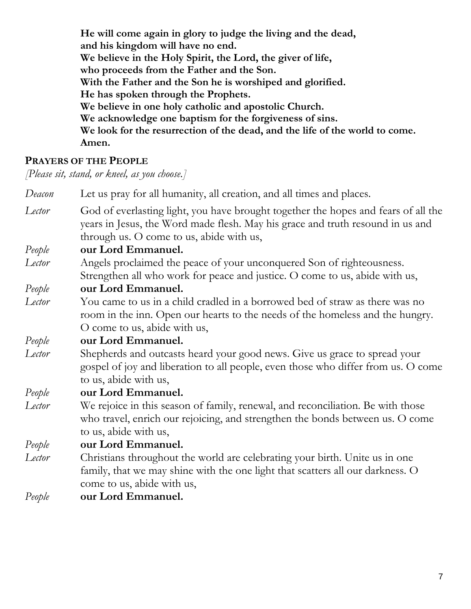**He will come again in glory to judge the living and the dead, and his kingdom will have no end. We believe in the Holy Spirit, the Lord, the giver of life, who proceeds from the Father and the Son. With the Father and the Son he is worshiped and glorified. He has spoken through the Prophets. We believe in one holy catholic and apostolic Church. We acknowledge one baptism for the forgiveness of sins. We look for the resurrection of the dead, and the life of the world to come. Amen.**

# **PRAYERS OF THE PEOPLE**

*[Please sit, stand, or kneel, as you choose.]*

| Deacon | Let us pray for all humanity, all creation, and all times and places.                                                                                                                                            |
|--------|------------------------------------------------------------------------------------------------------------------------------------------------------------------------------------------------------------------|
| Lector | God of everlasting light, you have brought together the hopes and fears of all the<br>years in Jesus, the Word made flesh. May his grace and truth resound in us and<br>through us. O come to us, abide with us, |
| People | our Lord Emmanuel.                                                                                                                                                                                               |
| Lector | Angels proclaimed the peace of your unconquered Son of righteousness.                                                                                                                                            |
|        | Strengthen all who work for peace and justice. O come to us, abide with us,                                                                                                                                      |
| People | our Lord Emmanuel.                                                                                                                                                                                               |
| Lector | You came to us in a child cradled in a borrowed bed of straw as there was no                                                                                                                                     |
|        | room in the inn. Open our hearts to the needs of the homeless and the hungry.                                                                                                                                    |
|        | O come to us, abide with us,                                                                                                                                                                                     |
| People | our Lord Emmanuel.                                                                                                                                                                                               |
| Lector | Shepherds and outcasts heard your good news. Give us grace to spread your                                                                                                                                        |
|        | gospel of joy and liberation to all people, even those who differ from us. O come                                                                                                                                |
|        | to us, abide with us,                                                                                                                                                                                            |
| People | our Lord Emmanuel.                                                                                                                                                                                               |
| Lector | We rejoice in this season of family, renewal, and reconciliation. Be with those                                                                                                                                  |
|        | who travel, enrich our rejoicing, and strengthen the bonds between us. O come                                                                                                                                    |
|        | to us, abide with us,                                                                                                                                                                                            |
| People | our Lord Emmanuel.                                                                                                                                                                                               |
| Lector | Christians throughout the world are celebrating your birth. Unite us in one                                                                                                                                      |
|        | family, that we may shine with the one light that scatters all our darkness. O                                                                                                                                   |
|        | come to us, abide with us,                                                                                                                                                                                       |
| People | our Lord Emmanuel.                                                                                                                                                                                               |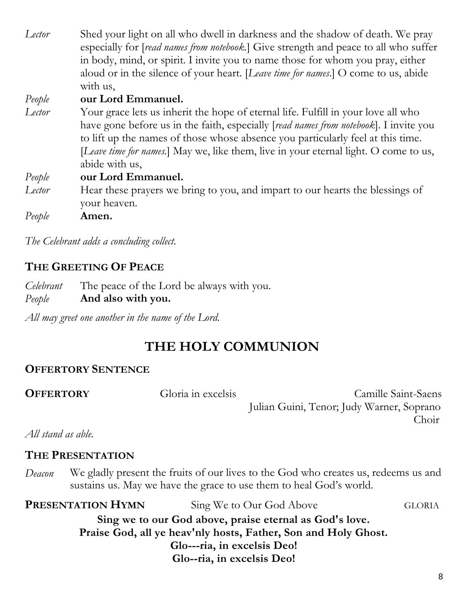| Lector | Shed your light on all who dwell in darkness and the shadow of death. We pray                 |
|--------|-----------------------------------------------------------------------------------------------|
|        | especially for [read names from notebook.] Give strength and peace to all who suffer          |
|        | in body, mind, or spirit. I invite you to name those for whom you pray, either                |
|        | aloud or in the silence of your heart. [Leave time for names.] O come to us, abide            |
|        | with us,                                                                                      |
| People | our Lord Emmanuel.                                                                            |
| Lector | Your grace lets us inherit the hope of eternal life. Fulfill in your love all who             |
|        | have gone before us in the faith, especially [read names from notebook]. I invite you         |
|        | to lift up the names of those whose absence you particularly feel at this time.               |
|        | [ <i>Leave time for names.</i> ] May we, like them, live in your eternal light. O come to us, |
|        | abide with us,                                                                                |
| People | our Lord Emmanuel.                                                                            |
| Lector | Hear these prayers we bring to you, and impart to our hearts the blessings of                 |
|        | your heaven.                                                                                  |
| People | Amen.                                                                                         |

*The Celebrant adds a concluding collect.* 

# **THE GREETING OF PEACE**

| Celebrant | The peace of the Lord be always with you. |
|-----------|-------------------------------------------|
| People    | And also with you.                        |

*All may greet one another in the name of the Lord.*

# **THE HOLY COMMUNION**

# **OFFERTORY SENTENCE**

**OFFERTORY** Gloria in excelsis Camille Saint-Saens Julian Guini, Tenor; Judy Warner, Soprano **Choir** 

*All stand as able.*

# **THE PRESENTATION**

*Deacon* We gladly present the fruits of our lives to the God who creates us, redeems us and sustains us. May we have the grace to use them to heal God's world.

| PRESENTATION HYMN | Sing We to Our God Above                                       | <b>GLORIA</b> |
|-------------------|----------------------------------------------------------------|---------------|
|                   | Sing we to our God above, praise eternal as God's love.        |               |
|                   | Praise God, all ye heav'nly hosts, Father, Son and Holy Ghost. |               |
|                   | Glo---ria, in excelsis Deo!                                    |               |
|                   | Glo--ria, in excelsis Deo!                                     |               |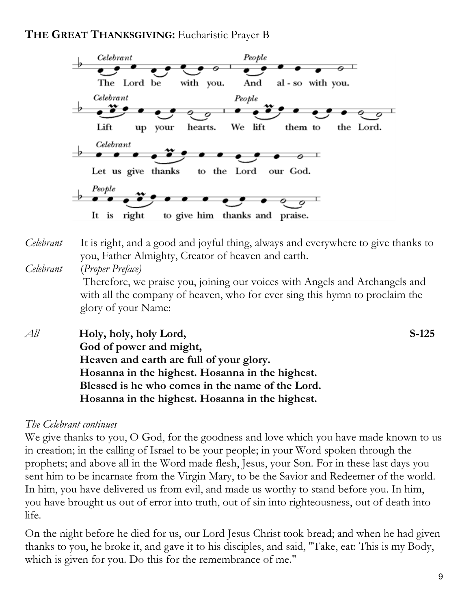# **THE GREAT THANKSGIVING:** Eucharistic Prayer B



*Celebrant* It is right, and a good and joyful thing, always and everywhere to give thanks to you, Father Almighty, Creator of heaven and earth.

*Celebrant* (*Proper Preface)*

Therefore, we praise you, joining our voices with Angels and Archangels and with all the company of heaven, who for ever sing this hymn to proclaim the glory of your Name:

*All* **Holy, holy, holy Lord,** S-125 **God of power and might, Heaven and earth are full of your glory. Hosanna in the highest. Hosanna in the highest. Blessed is he who comes in the name of the Lord. Hosanna in the highest. Hosanna in the highest.** 

# *The Celebrant continues*

We give thanks to you, O God, for the goodness and love which you have made known to us in creation; in the calling of Israel to be your people; in your Word spoken through the prophets; and above all in the Word made flesh, Jesus, your Son. For in these last days you sent him to be incarnate from the Virgin Mary, to be the Savior and Redeemer of the world. In him, you have delivered us from evil, and made us worthy to stand before you. In him, you have brought us out of error into truth, out of sin into righteousness, out of death into life.

On the night before he died for us, our Lord Jesus Christ took bread; and when he had given thanks to you, he broke it, and gave it to his disciples, and said, "Take, eat: This is my Body, which is given for you. Do this for the remembrance of me."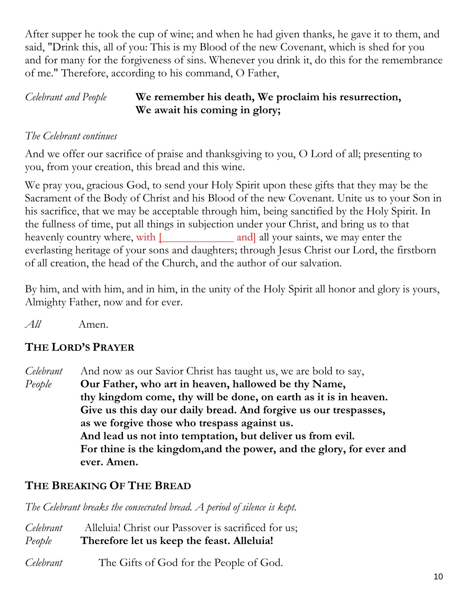After supper he took the cup of wine; and when he had given thanks, he gave it to them, and said, "Drink this, all of you: This is my Blood of the new Covenant, which is shed for you and for many for the forgiveness of sins. Whenever you drink it, do this for the remembrance of me." Therefore, according to his command, O Father,

# *Celebrant and People* **We remember his death, We proclaim his resurrection, We await his coming in glory;**

# *The Celebrant continues*

And we offer our sacrifice of praise and thanksgiving to you, O Lord of all; presenting to you, from your creation, this bread and this wine.

We pray you, gracious God, to send your Holy Spirit upon these gifts that they may be the Sacrament of the Body of Christ and his Blood of the new Covenant. Unite us to your Son in his sacrifice, that we may be acceptable through him, being sanctified by the Holy Spirit. In the fullness of time, put all things in subjection under your Christ, and bring us to that heavenly country where, with  $\boxed{\phantom{a} \phantom{a}}$  and all your saints, we may enter the everlasting heritage of your sons and daughters; through Jesus Christ our Lord, the firstborn of all creation, the head of the Church, and the author of our salvation.

By him, and with him, and in him, in the unity of the Holy Spirit all honor and glory is yours, Almighty Father, now and for ever.

# *All* Amen.

# **THE LORD'S PRAYER**

*Celebrant* And now as our Savior Christ has taught us, we are bold to say, *People* **Our Father, who art in heaven, hallowed be thy Name, thy kingdom come, thy will be done, on earth as it is in heaven. Give us this day our daily bread. And forgive us our trespasses, as we forgive those who trespass against us. And lead us not into temptation, but deliver us from evil. For thine is the kingdom,and the power, and the glory, for ever and ever. Amen.**

# **THE BREAKING OF THE BREAD**

*The Celebrant breaks the consecrated bread. A period of silence is kept.*

| Celebrant | Alleluia! Christ our Passover is sacrificed for us; |
|-----------|-----------------------------------------------------|
| People    | Therefore let us keep the feast. Alleluia!          |
| Celebrant | The Gifts of God for the People of God.             |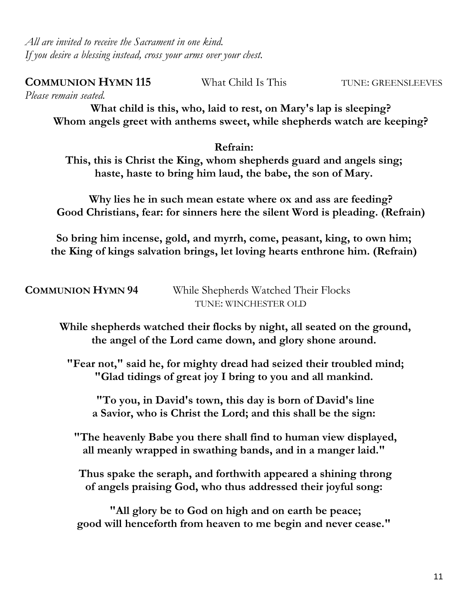*All are invited to receive the Sacrament in one kind. If you desire a blessing instead, cross your arms over your chest.*

# **COMMUNION HYMN 115** What Child Is This TUNE: GREENSLEEVES

*Please remain seated.* 

**What child is this, who, laid to rest, on Mary's lap is sleeping? Whom angels greet with anthems sweet, while shepherds watch are keeping?**

#### **Refrain:**

**This, this is Christ the King, whom shepherds guard and angels sing; haste, haste to bring him laud, the babe, the son of Mary.** 

**Why lies he in such mean estate where ox and ass are feeding? Good Christians, fear: for sinners here the silent Word is pleading. (Refrain)**

**So bring him incense, gold, and myrrh, come, peasant, king, to own him; the King of kings salvation brings, let loving hearts enthrone him. (Refrain)**

**COMMUNION HYMN 94** While Shepherds Watched Their Flocks TUNE: WINCHESTER OLD

> **While shepherds watched their flocks by night, all seated on the ground, the angel of the Lord came down, and glory shone around.**

**"Fear not," said he, for mighty dread had seized their troubled mind; "Glad tidings of great joy I bring to you and all mankind.**

**"To you, in David's town, this day is born of David's line a Savior, who is Christ the Lord; and this shall be the sign:**

**"The heavenly Babe you there shall find to human view displayed, all meanly wrapped in swathing bands, and in a manger laid."**

**Thus spake the seraph, and forthwith appeared a shining throng of angels praising God, who thus addressed their joyful song:**

**"All glory be to God on high and on earth be peace; good will henceforth from heaven to me begin and never cease."**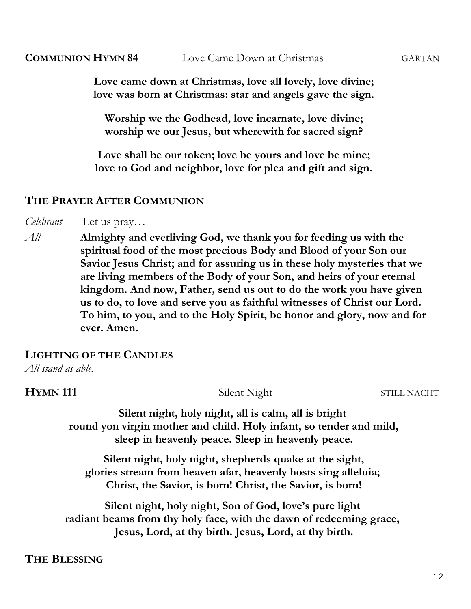**Love came down at Christmas, love all lovely, love divine; love was born at Christmas: star and angels gave the sign.**

**Worship we the Godhead, love incarnate, love divine; worship we our Jesus, but wherewith for sacred sign?**

**Love shall be our token; love be yours and love be mine; love to God and neighbor, love for plea and gift and sign.**

#### **THE PRAYER AFTER COMMUNION**

*Celebrant* Let us pray…

*All* **Almighty and everliving God, we thank you for feeding us with the spiritual food of the most precious Body and Blood of your Son our Savior Jesus Christ; and for assuring us in these holy mysteries that we are living members of the Body of your Son, and heirs of your eternal kingdom. And now, Father, send us out to do the work you have given us to do, to love and serve you as faithful witnesses of Christ our Lord. To him, to you, and to the Holy Spirit, be honor and glory, now and for ever. Amen.**

**LIGHTING OF THE CANDLES**

*All stand as able.*

**HYMN 111** Silent Night STILL NACHT

**Silent night, holy night, all is calm, all is bright round yon virgin mother and child. Holy infant, so tender and mild, sleep in heavenly peace. Sleep in heavenly peace.**

**Silent night, holy night, shepherds quake at the sight, glories stream from heaven afar, heavenly hosts sing alleluia; Christ, the Savior, is born! Christ, the Savior, is born!**

**Silent night, holy night, Son of God, love's pure light radiant beams from thy holy face, with the dawn of redeeming grace, Jesus, Lord, at thy birth. Jesus, Lord, at thy birth.**

## **THE BLESSING**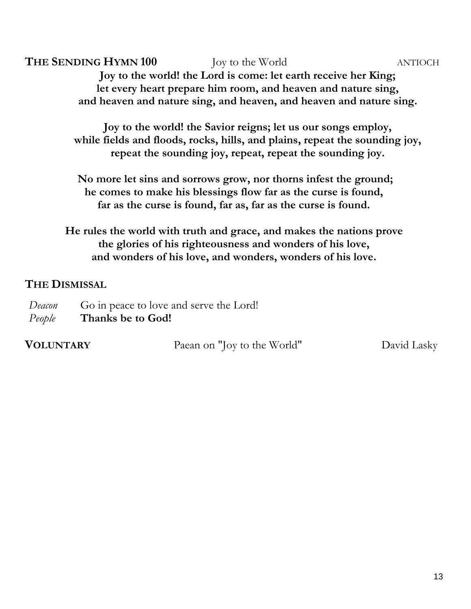**THE SENDING HYMN 100** Joy to the World ANTIOCH **Joy to the world! the Lord is come: let earth receive her King; let every heart prepare him room, and heaven and nature sing, and heaven and nature sing, and heaven, and heaven and nature sing.** 

> **Joy to the world! the Savior reigns; let us our songs employ, while fields and floods, rocks, hills, and plains, repeat the sounding joy, repeat the sounding joy, repeat, repeat the sounding joy.**

**No more let sins and sorrows grow, nor thorns infest the ground; he comes to make his blessings flow far as the curse is found, far as the curse is found, far as, far as the curse is found.** 

**He rules the world with truth and grace, and makes the nations prove the glories of his righteousness and wonders of his love, and wonders of his love, and wonders, wonders of his love.**

# **THE DISMISSAL**

| Deacon | Go in peace to love and serve the Lord! |
|--------|-----------------------------------------|
| People | Thanks be to God!                       |

| <b>VOLUNTARY</b> | Paean on "Joy to the World" | David Lasky |
|------------------|-----------------------------|-------------|
|                  |                             |             |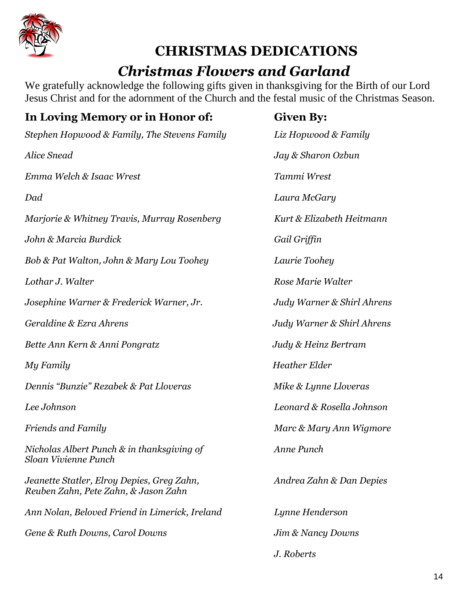

# **CHRISTMAS DEDICATIONS** *Christmas Flowers and Garland*

We gratefully acknowledge the following gifts given in thanksgiving for the Birth of our Lord Jesus Christ and for the adornment of the Church and the festal music of the Christmas Season.

| In Loving Memory or in Honor of:                                                   | <b>Given By:</b>           |
|------------------------------------------------------------------------------------|----------------------------|
| Stephen Hopwood & Family, The Stevens Family                                       | Liz Hopwood & Family       |
| <b>Alice Snead</b>                                                                 | Jay & Sharon Ozbun         |
| Emma Welch & Isaac Wrest                                                           | Tammi Wrest                |
| Dad                                                                                | Laura McGary               |
| Marjorie & Whitney Travis, Murray Rosenberg                                        | Kurt & Elizabeth Heitmann  |
| John & Marcia Burdick                                                              | Gail Griffin               |
| Bob & Pat Walton, John & Mary Lou Toohey                                           | Laurie Toohey              |
| Lothar J. Walter                                                                   | Rose Marie Walter          |
| Josephine Warner & Frederick Warner, Jr.                                           | Judy Warner & Shirl Ahrens |
| Geraldine & Ezra Ahrens                                                            | Judy Warner & Shirl Ahrens |
| Bette Ann Kern & Anni Pongratz                                                     | Judy & Heinz Bertram       |
| My Family                                                                          | <b>Heather Elder</b>       |
| Dennis "Bunzie" Rezabek & Pat Lloveras                                             | Mike & Lynne Lloveras      |
| Lee Johnson                                                                        | Leonard & Rosella Johnson  |
| <b>Friends and Family</b>                                                          | Marc & Mary Ann Wigmore    |
| Nicholas Albert Punch & in thanksgiving of<br>Sloan Vivienne Punch                 | Anne Punch                 |
| Jeanette Statler, Elroy Depies, Greg Zahn,<br>Reuben Zahn, Pete Zahn, & Jason Zahn | Andrea Zahn & Dan Depies   |
| Ann Nolan, Beloved Friend in Limerick, Ireland                                     | Lynne Henderson            |
| Gene & Ruth Downs, Carol Downs                                                     | Jim & Nancy Downs          |
|                                                                                    | J. Roberts                 |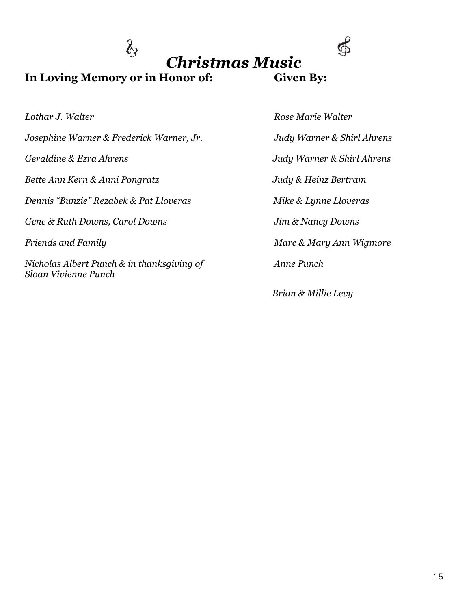# *Christmas Music*

In Loving Memory or in Honor of:

&

| Lothar J. Walter                                                   | Rose Marie Walter          |
|--------------------------------------------------------------------|----------------------------|
| Josephine Warner & Frederick Warner, Jr.                           | Judy Warner & Shirl Ahrens |
| Geraldine & Ezra Ahrens                                            | Judy Warner & Shirl Ahrens |
| Bette Ann Kern & Anni Pongratz                                     | Judy & Heinz Bertram       |
| Dennis "Bunzie" Rezabek & Pat Lloveras                             | Mike & Lynne Lloveras      |
| Gene & Ruth Downs, Carol Downs                                     | Jim & Nancy Downs          |
| <b>Friends and Family</b>                                          | Marc & Mary Ann Wigmore    |
| Nicholas Albert Punch & in thanksgiving of<br>Sloan Vivienne Punch | Anne Punch                 |
|                                                                    | $Rrian \& Millio Loni$     |

 *Brian & Millie Levy*